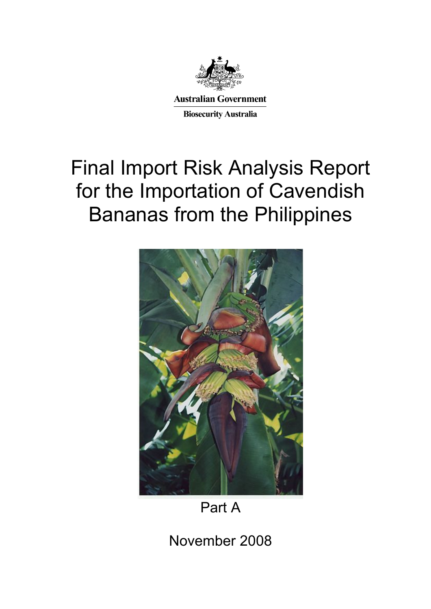

# Final Import Risk Analysis Report for the Importation of Cavendish Bananas from the Philippines



# Part A

November 2008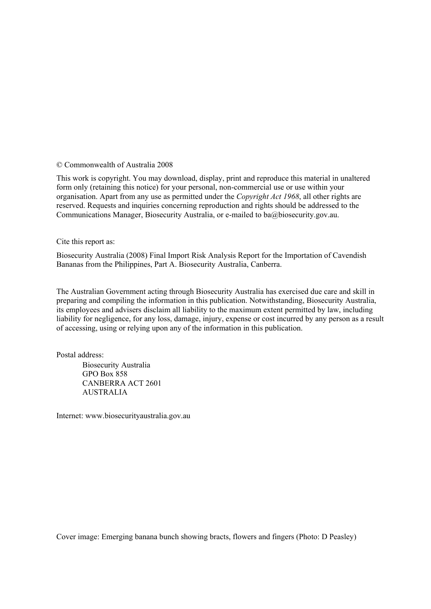#### © Commonwealth of Australia 2008

This work is copyright. You may download, display, print and reproduce this material in unaltered form only (retaining this notice) for your personal, non-commercial use or use within your organisation. Apart from any use as permitted under the *Copyright Act 1968*, all other rights are reserved. Requests and inquiries concerning reproduction and rights should be addressed to the Communications Manager, Biosecurity Australia, or e-mailed to ba@biosecurity.gov.au.

#### Cite this report as:

Biosecurity Australia (2008) Final Import Risk Analysis Report for the Importation of Cavendish Bananas from the Philippines, Part A. Biosecurity Australia, Canberra.

The Australian Government acting through Biosecurity Australia has exercised due care and skill in preparing and compiling the information in this publication. Notwithstanding, Biosecurity Australia, its employees and advisers disclaim all liability to the maximum extent permitted by law, including liability for negligence, for any loss, damage, injury, expense or cost incurred by any person as a result of accessing, using or relying upon any of the information in this publication.

Postal address:

Biosecurity Australia GPO Box 858 CANBERRA ACT 2601 AUSTRALIA

Internet: www.biosecurityaustralia.gov.au

Cover image: Emerging banana bunch showing bracts, flowers and fingers (Photo: D Peasley)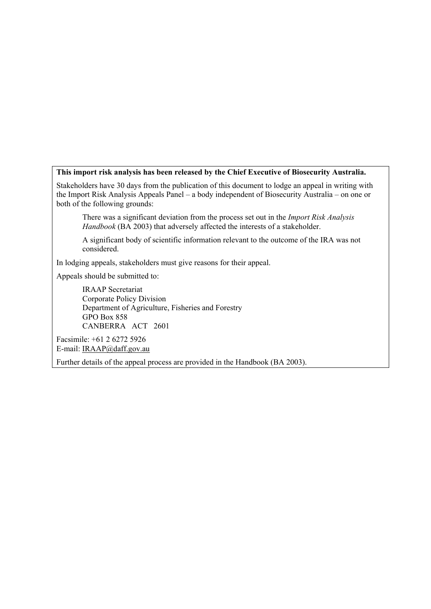#### **This import risk analysis has been released by the Chief Executive of Biosecurity Australia.**

Stakeholders have 30 days from the publication of this document to lodge an appeal in writing with the Import Risk Analysis Appeals Panel – a body independent of Biosecurity Australia – on one or both of the following grounds:

There was a significant deviation from the process set out in the *Import Risk Analysis Handbook* (BA 2003) that adversely affected the interests of a stakeholder.

 A significant body of scientific information relevant to the outcome of the IRA was not considered.

In lodging appeals, stakeholders must give reasons for their appeal.

Appeals should be submitted to:

IRAAP Secretariat Corporate Policy Division Department of Agriculture, Fisheries and Forestry GPO Box 858 CANBERRA ACT 2601

Facsimile: +61 2 6272 5926 E-mail: IRAAP@daff.gov.au

Further details of the appeal process are provided in the Handbook (BA 2003).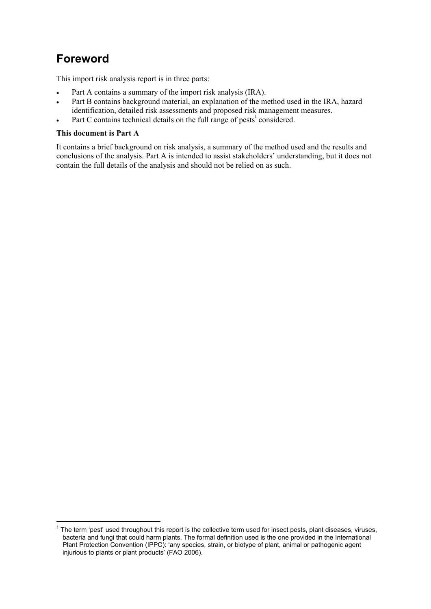# **Foreword**

1

This import risk analysis report is in three parts:

- Part A contains a summary of the import risk analysis (IRA).
- Part B contains background material, an explanation of the method used in the IRA, hazard identification, detailed risk assessments and proposed risk management measures.
- Part C contains technical details on the full range of pests $^1$  considered.

#### **This document is Part A**

It contains a brief background on risk analysis, a summary of the method used and the results and conclusions of the analysis. Part A is intended to assist stakeholders' understanding, but it does not contain the full details of the analysis and should not be relied on as such.

 $1$  The term 'pest' used throughout this report is the collective term used for insect pests, plant diseases, viruses, bacteria and fungi that could harm plants. The formal definition used is the one provided in the International Plant Protection Convention (IPPC): 'any species, strain, or biotype of plant, animal or pathogenic agent injurious to plants or plant products' (FAO 2006).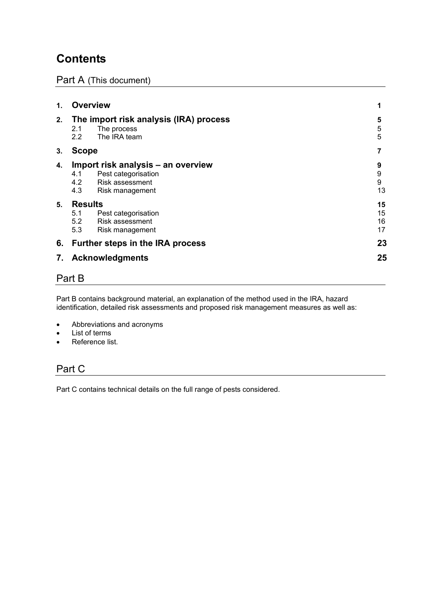# **Contents**

### Part A (This document)

| <b>Overview</b>                                                                                                      |                      |
|----------------------------------------------------------------------------------------------------------------------|----------------------|
| The import risk analysis (IRA) process<br>2.1<br>The process<br>The IRA team<br>$2.2\phantom{0}$                     | 5<br>5<br>5          |
| <b>Scope</b>                                                                                                         | 7                    |
| Import risk analysis – an overview<br>Pest categorisation<br>4.1<br>4.2<br>Risk assessment<br>4.3<br>Risk management | 9<br>9<br>9<br>13    |
| <b>Results</b><br>5.1<br>Pest categorisation<br>5.2<br>Risk assessment<br>5.3<br>Risk management                     | 15<br>15<br>16<br>17 |
| 6.<br>Further steps in the IRA process                                                                               | 23                   |
| 7.<br><b>Acknowledgments</b>                                                                                         | 25                   |
|                                                                                                                      |                      |

# Part B

Part B contains background material, an explanation of the method used in the IRA, hazard identification, detailed risk assessments and proposed risk management measures as well as:

- Abbreviations and acronyms
- List of terms
- Reference list.

# Part C

Part C contains technical details on the full range of pests considered.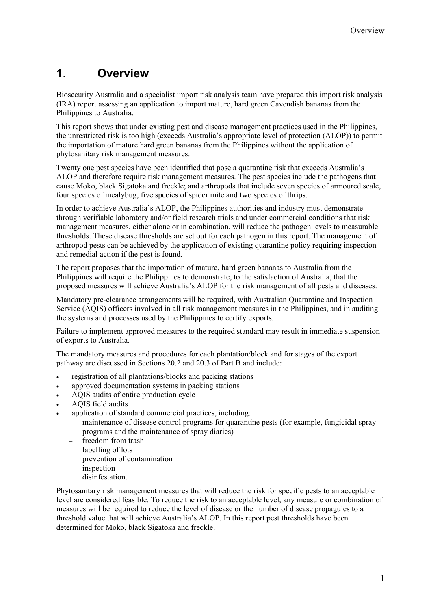# **1. Overview**

Biosecurity Australia and a specialist import risk analysis team have prepared this import risk analysis (IRA) report assessing an application to import mature, hard green Cavendish bananas from the Philippines to Australia.

This report shows that under existing pest and disease management practices used in the Philippines, the unrestricted risk is too high (exceeds Australia's appropriate level of protection (ALOP)) to permit the importation of mature hard green bananas from the Philippines without the application of phytosanitary risk management measures.

Twenty one pest species have been identified that pose a quarantine risk that exceeds Australia's ALOP and therefore require risk management measures. The pest species include the pathogens that cause Moko, black Sigatoka and freckle; and arthropods that include seven species of armoured scale, four species of mealybug, five species of spider mite and two species of thrips.

In order to achieve Australia's ALOP, the Philippines authorities and industry must demonstrate through verifiable laboratory and/or field research trials and under commercial conditions that risk management measures, either alone or in combination, will reduce the pathogen levels to measurable thresholds. These disease thresholds are set out for each pathogen in this report. The management of arthropod pests can be achieved by the application of existing quarantine policy requiring inspection and remedial action if the pest is found.

The report proposes that the importation of mature, hard green bananas to Australia from the Philippines will require the Philippines to demonstrate, to the satisfaction of Australia, that the proposed measures will achieve Australia's ALOP for the risk management of all pests and diseases.

Mandatory pre-clearance arrangements will be required, with Australian Quarantine and Inspection Service (AQIS) officers involved in all risk management measures in the Philippines, and in auditing the systems and processes used by the Philippines to certify exports.

Failure to implement approved measures to the required standard may result in immediate suspension of exports to Australia.

The mandatory measures and procedures for each plantation/block and for stages of the export pathway are discussed in Sections 20.2 and 20.3 of Part B and include:

- registration of all plantations/blocks and packing stations
- approved documentation systems in packing stations
- AQIS audits of entire production cycle
- AQIS field audits
- application of standard commercial practices, including:
	- maintenance of disease control programs for quarantine pests (for example, fungicidal spray programs and the maintenance of spray diaries)
		- freedom from trash
		- labelling of lots
	- prevention of contamination
	- − inspection
	- − disinfestation.

Phytosanitary risk management measures that will reduce the risk for specific pests to an acceptable level are considered feasible. To reduce the risk to an acceptable level, any measure or combination of measures will be required to reduce the level of disease or the number of disease propagules to a threshold value that will achieve Australia's ALOP. In this report pest thresholds have been determined for Moko, black Sigatoka and freckle.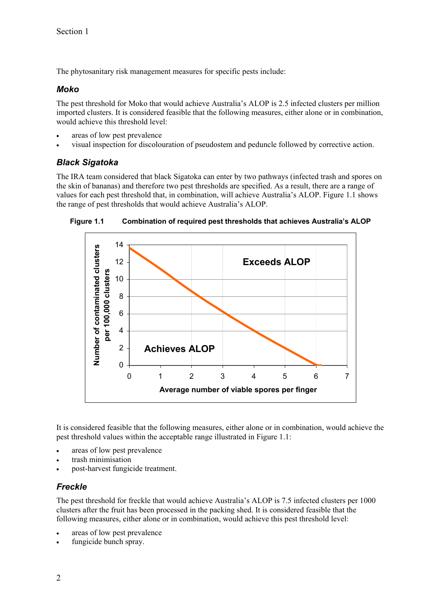The phytosanitary risk management measures for specific pests include:

#### *Moko*

The pest threshold for Moko that would achieve Australia's ALOP is 2.5 infected clusters per million imported clusters. It is considered feasible that the following measures, either alone or in combination, would achieve this threshold level:

- areas of low pest prevalence
- visual inspection for discolouration of pseudostem and peduncle followed by corrective action.

### *Black Sigatoka*

The IRA team considered that black Sigatoka can enter by two pathways (infected trash and spores on the skin of bananas) and therefore two pest thresholds are specified. As a result, there are a range of values for each pest threshold that, in combination, will achieve Australia's ALOP. Figure 1.1 shows the range of pest thresholds that would achieve Australia's ALOP.



**Figure 1.1 Combination of required pest thresholds that achieves Australia's ALOP** 

It is considered feasible that the following measures, either alone or in combination, would achieve the pest threshold values within the acceptable range illustrated in Figure 1.1:

- areas of low pest prevalence
- trash minimisation
- post-harvest fungicide treatment.

### *Freckle*

The pest threshold for freckle that would achieve Australia's ALOP is 7.5 infected clusters per 1000 clusters after the fruit has been processed in the packing shed. It is considered feasible that the following measures, either alone or in combination, would achieve this pest threshold level:

- areas of low pest prevalence
- fungicide bunch spray.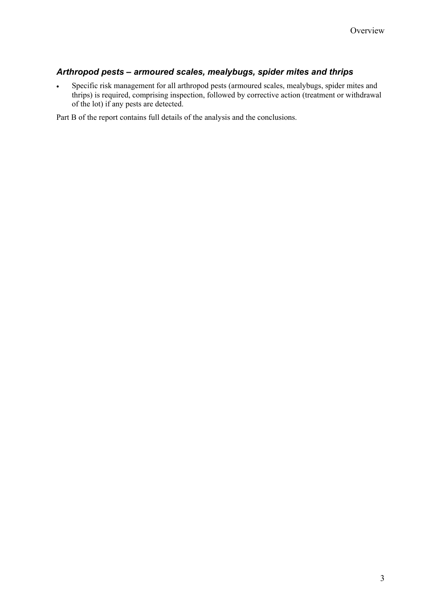### *Arthropod pests – armoured scales, mealybugs, spider mites and thrips*

• Specific risk management for all arthropod pests (armoured scales, mealybugs, spider mites and thrips) is required, comprising inspection, followed by corrective action (treatment or withdrawal of the lot) if any pests are detected.

Part B of the report contains full details of the analysis and the conclusions.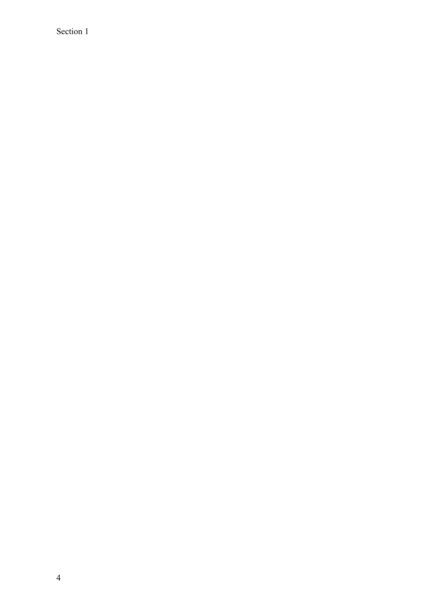Section 1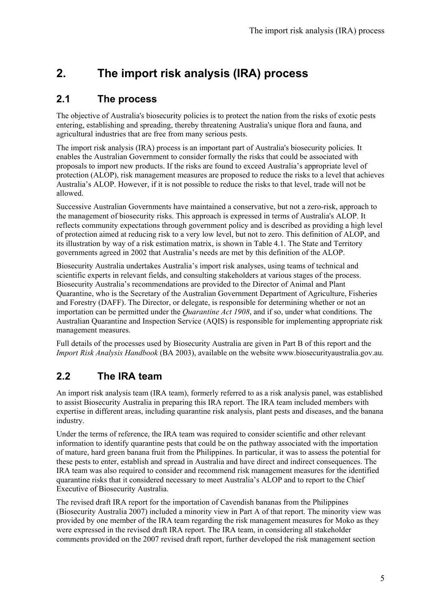# **2. The import risk analysis (IRA) process**

# **2.1 The process**

The objective of Australia's biosecurity policies is to protect the nation from the risks of exotic pests entering, establishing and spreading, thereby threatening Australia's unique flora and fauna, and agricultural industries that are free from many serious pests.

The import risk analysis (IRA) process is an important part of Australia's biosecurity policies. It enables the Australian Government to consider formally the risks that could be associated with proposals to import new products. If the risks are found to exceed Australia's appropriate level of protection (ALOP), risk management measures are proposed to reduce the risks to a level that achieves Australia's ALOP. However, if it is not possible to reduce the risks to that level, trade will not be allowed.

Successive Australian Governments have maintained a conservative, but not a zero-risk, approach to the management of biosecurity risks. This approach is expressed in terms of Australia's ALOP. It reflects community expectations through government policy and is described as providing a high level of protection aimed at reducing risk to a very low level, but not to zero. This definition of ALOP, and its illustration by way of a risk estimation matrix, is shown in Table 4.1. The State and Territory governments agreed in 2002 that Australia's needs are met by this definition of the ALOP.

Biosecurity Australia undertakes Australia's import risk analyses, using teams of technical and scientific experts in relevant fields, and consulting stakeholders at various stages of the process. Biosecurity Australia's recommendations are provided to the Director of Animal and Plant Quarantine, who is the Secretary of the Australian Government Department of Agriculture, Fisheries and Forestry (DAFF). The Director, or delegate, is responsible for determining whether or not an importation can be permitted under the *Quarantine Act 1908*, and if so, under what conditions. The Australian Quarantine and Inspection Service (AQIS) is responsible for implementing appropriate risk management measures.

Full details of the processes used by Biosecurity Australia are given in Part B of this report and the *Import Risk Analysis Handbook* (BA 2003), available on the website www.biosecurityaustralia.gov.au.

# **2.2 The IRA team**

An import risk analysis team (IRA team), formerly referred to as a risk analysis panel, was established to assist Biosecurity Australia in preparing this IRA report. The IRA team included members with expertise in different areas, including quarantine risk analysis, plant pests and diseases, and the banana industry.

Under the terms of reference, the IRA team was required to consider scientific and other relevant information to identify quarantine pests that could be on the pathway associated with the importation of mature, hard green banana fruit from the Philippines. In particular, it was to assess the potential for these pests to enter, establish and spread in Australia and have direct and indirect consequences. The IRA team was also required to consider and recommend risk management measures for the identified quarantine risks that it considered necessary to meet Australia's ALOP and to report to the Chief Executive of Biosecurity Australia.

The revised draft IRA report for the importation of Cavendish bananas from the Philippines (Biosecurity Australia 2007) included a minority view in Part A of that report. The minority view was provided by one member of the IRA team regarding the risk management measures for Moko as they were expressed in the revised draft IRA report. The IRA team, in considering all stakeholder comments provided on the 2007 revised draft report, further developed the risk management section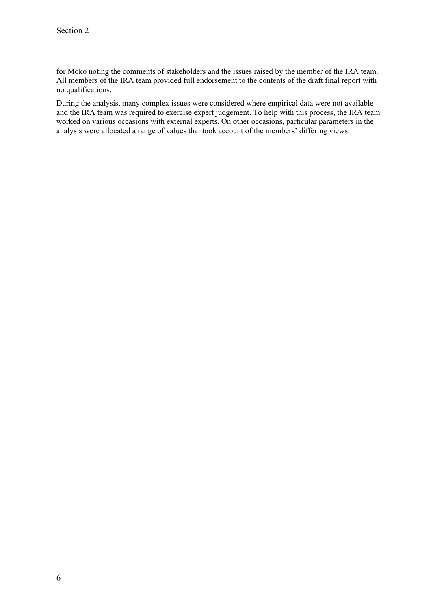for Moko noting the comments of stakeholders and the issues raised by the member of the IRA team. All members of the IRA team provided full endorsement to the contents of the draft final report with no qualifications.

During the analysis, many complex issues were considered where empirical data were not available and the IRA team was required to exercise expert judgement. To help with this process, the IRA team worked on various occasions with external experts. On other occasions, particular parameters in the analysis were allocated a range of values that took account of the members' differing views.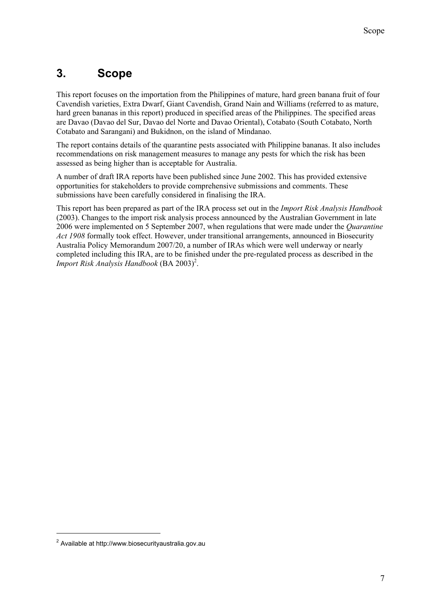# **3. Scope**

This report focuses on the importation from the Philippines of mature, hard green banana fruit of four Cavendish varieties, Extra Dwarf, Giant Cavendish, Grand Nain and Williams (referred to as mature, hard green bananas in this report) produced in specified areas of the Philippines. The specified areas are Davao (Davao del Sur, Davao del Norte and Davao Oriental), Cotabato (South Cotabato, North Cotabato and Sarangani) and Bukidnon, on the island of Mindanao.

The report contains details of the quarantine pests associated with Philippine bananas. It also includes recommendations on risk management measures to manage any pests for which the risk has been assessed as being higher than is acceptable for Australia.

A number of draft IRA reports have been published since June 2002. This has provided extensive opportunities for stakeholders to provide comprehensive submissions and comments. These submissions have been carefully considered in finalising the IRA.

This report has been prepared as part of the IRA process set out in the *Import Risk Analysis Handbook* (2003). Changes to the import risk analysis process announced by the Australian Government in late 2006 were implemented on 5 September 2007, when regulations that were made under the *Quarantine Act 1908* formally took effect. However, under transitional arrangements, announced in Biosecurity Australia Policy Memorandum 2007/20, a number of IRAs which were well underway or nearly completed including this IRA, are to be finished under the pre-regulated process as described in the *Import Risk Analysis Handbook* (BA 2003)<sup>2</sup>.

1

 $2$  Available at http://www.biosecurityaustralia.gov.au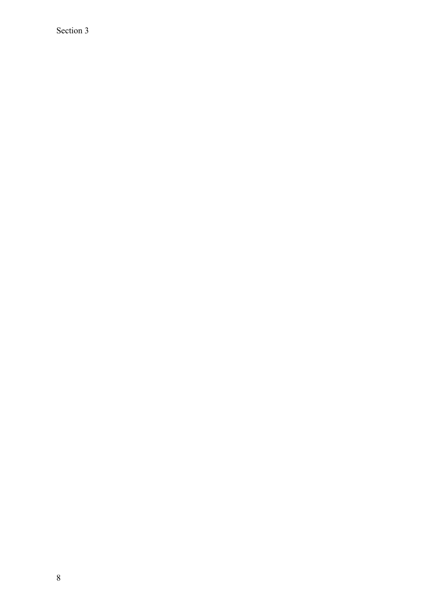Section 3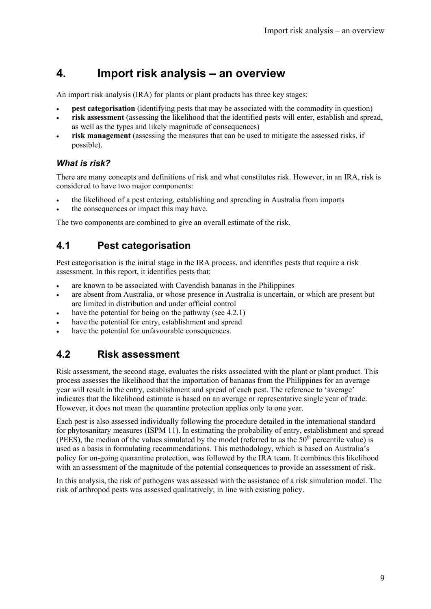# **4. Import risk analysis – an overview**

An import risk analysis (IRA) for plants or plant products has three key stages:

- **pest categorisation** (identifying pests that may be associated with the commodity in question)
- **risk assessment** (assessing the likelihood that the identified pests will enter, establish and spread, as well as the types and likely magnitude of consequences)
- **risk management** (assessing the measures that can be used to mitigate the assessed risks, if possible).

### *What is risk?*

There are many concepts and definitions of risk and what constitutes risk. However, in an IRA, risk is considered to have two major components:

- the likelihood of a pest entering, establishing and spreading in Australia from imports
- the consequences or impact this may have.

The two components are combined to give an overall estimate of the risk.

# **4.1 Pest categorisation**

Pest categorisation is the initial stage in the IRA process, and identifies pests that require a risk assessment. In this report, it identifies pests that:

- are known to be associated with Cavendish bananas in the Philippines
- are absent from Australia, or whose presence in Australia is uncertain, or which are present but are limited in distribution and under official control
- have the potential for being on the pathway (see  $4.2.1$ )
- have the potential for entry, establishment and spread
- have the potential for unfavourable consequences.

# **4.2 Risk assessment**

Risk assessment, the second stage, evaluates the risks associated with the plant or plant product. This process assesses the likelihood that the importation of bananas from the Philippines for an average year will result in the entry, establishment and spread of each pest. The reference to 'average' indicates that the likelihood estimate is based on an average or representative single year of trade. However, it does not mean the quarantine protection applies only to one year.

Each pest is also assessed individually following the procedure detailed in the international standard for phytosanitary measures (ISPM 11). In estimating the probability of entry, establishment and spread (PEES), the median of the values simulated by the model (referred to as the  $50<sup>th</sup>$  percentile value) is used as a basis in formulating recommendations. This methodology, which is based on Australia's policy for on-going quarantine protection, was followed by the IRA team. It combines this likelihood with an assessment of the magnitude of the potential consequences to provide an assessment of risk.

In this analysis, the risk of pathogens was assessed with the assistance of a risk simulation model. The risk of arthropod pests was assessed qualitatively, in line with existing policy.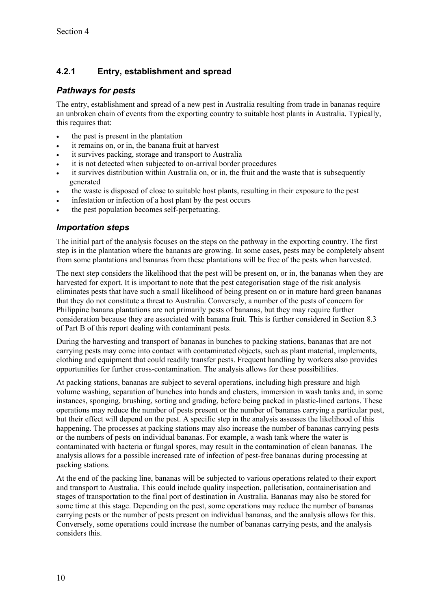# **4.2.1 Entry, establishment and spread**

#### *Pathways for pests*

The entry, establishment and spread of a new pest in Australia resulting from trade in bananas require an unbroken chain of events from the exporting country to suitable host plants in Australia. Typically, this requires that:

- the pest is present in the plantation
- it remains on, or in, the banana fruit at harvest
- it survives packing, storage and transport to Australia
- it is not detected when subjected to on-arrival border procedures
- it survives distribution within Australia on, or in, the fruit and the waste that is subsequently generated
- the waste is disposed of close to suitable host plants, resulting in their exposure to the pest
- infestation or infection of a host plant by the pest occurs
- the pest population becomes self-perpetuating.

#### *Importation steps*

The initial part of the analysis focuses on the steps on the pathway in the exporting country. The first step is in the plantation where the bananas are growing. In some cases, pests may be completely absent from some plantations and bananas from these plantations will be free of the pests when harvested.

The next step considers the likelihood that the pest will be present on, or in, the bananas when they are harvested for export. It is important to note that the pest categorisation stage of the risk analysis eliminates pests that have such a small likelihood of being present on or in mature hard green bananas that they do not constitute a threat to Australia. Conversely, a number of the pests of concern for Philippine banana plantations are not primarily pests of bananas, but they may require further consideration because they are associated with banana fruit. This is further considered in Section 8.3 of Part B of this report dealing with contaminant pests.

During the harvesting and transport of bananas in bunches to packing stations, bananas that are not carrying pests may come into contact with contaminated objects, such as plant material, implements, clothing and equipment that could readily transfer pests. Frequent handling by workers also provides opportunities for further cross-contamination. The analysis allows for these possibilities.

At packing stations, bananas are subject to several operations, including high pressure and high volume washing, separation of bunches into hands and clusters, immersion in wash tanks and, in some instances, sponging, brushing, sorting and grading, before being packed in plastic-lined cartons. These operations may reduce the number of pests present or the number of bananas carrying a particular pest, but their effect will depend on the pest. A specific step in the analysis assesses the likelihood of this happening. The processes at packing stations may also increase the number of bananas carrying pests or the numbers of pests on individual bananas. For example, a wash tank where the water is contaminated with bacteria or fungal spores, may result in the contamination of clean bananas. The analysis allows for a possible increased rate of infection of pest-free bananas during processing at packing stations.

At the end of the packing line, bananas will be subjected to various operations related to their export and transport to Australia. This could include quality inspection, palletisation, containerisation and stages of transportation to the final port of destination in Australia. Bananas may also be stored for some time at this stage. Depending on the pest, some operations may reduce the number of bananas carrying pests or the number of pests present on individual bananas, and the analysis allows for this. Conversely, some operations could increase the number of bananas carrying pests, and the analysis considers this.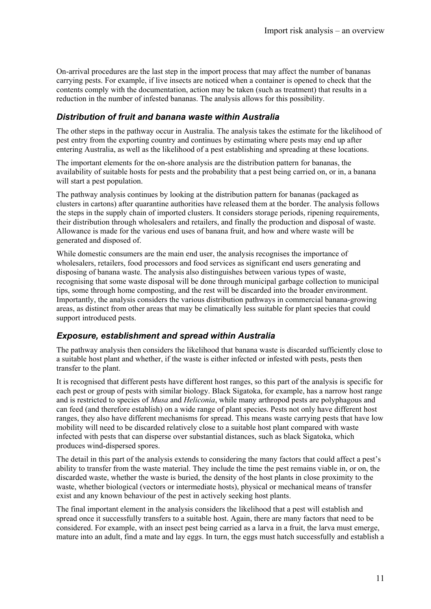On-arrival procedures are the last step in the import process that may affect the number of bananas carrying pests. For example, if live insects are noticed when a container is opened to check that the contents comply with the documentation, action may be taken (such as treatment) that results in a reduction in the number of infested bananas. The analysis allows for this possibility.

#### *Distribution of fruit and banana waste within Australia*

The other steps in the pathway occur in Australia. The analysis takes the estimate for the likelihood of pest entry from the exporting country and continues by estimating where pests may end up after entering Australia, as well as the likelihood of a pest establishing and spreading at these locations.

The important elements for the on-shore analysis are the distribution pattern for bananas, the availability of suitable hosts for pests and the probability that a pest being carried on, or in, a banana will start a pest population.

The pathway analysis continues by looking at the distribution pattern for bananas (packaged as clusters in cartons) after quarantine authorities have released them at the border. The analysis follows the steps in the supply chain of imported clusters. It considers storage periods, ripening requirements, their distribution through wholesalers and retailers, and finally the production and disposal of waste. Allowance is made for the various end uses of banana fruit, and how and where waste will be generated and disposed of.

While domestic consumers are the main end user, the analysis recognises the importance of wholesalers, retailers, food processors and food services as significant end users generating and disposing of banana waste. The analysis also distinguishes between various types of waste, recognising that some waste disposal will be done through municipal garbage collection to municipal tips, some through home composting, and the rest will be discarded into the broader environment. Importantly, the analysis considers the various distribution pathways in commercial banana-growing areas, as distinct from other areas that may be climatically less suitable for plant species that could support introduced pests.

#### *Exposure, establishment and spread within Australia*

The pathway analysis then considers the likelihood that banana waste is discarded sufficiently close to a suitable host plant and whether, if the waste is either infected or infested with pests, pests then transfer to the plant.

It is recognised that different pests have different host ranges, so this part of the analysis is specific for each pest or group of pests with similar biology. Black Sigatoka, for example, has a narrow host range and is restricted to species of *Musa* and *Heliconia*, while many arthropod pests are polyphagous and can feed (and therefore establish) on a wide range of plant species. Pests not only have different host ranges, they also have different mechanisms for spread. This means waste carrying pests that have low mobility will need to be discarded relatively close to a suitable host plant compared with waste infected with pests that can disperse over substantial distances, such as black Sigatoka, which produces wind-dispersed spores.

The detail in this part of the analysis extends to considering the many factors that could affect a pest's ability to transfer from the waste material. They include the time the pest remains viable in, or on, the discarded waste, whether the waste is buried, the density of the host plants in close proximity to the waste, whether biological (vectors or intermediate hosts), physical or mechanical means of transfer exist and any known behaviour of the pest in actively seeking host plants.

The final important element in the analysis considers the likelihood that a pest will establish and spread once it successfully transfers to a suitable host. Again, there are many factors that need to be considered. For example, with an insect pest being carried as a larva in a fruit, the larva must emerge, mature into an adult, find a mate and lay eggs. In turn, the eggs must hatch successfully and establish a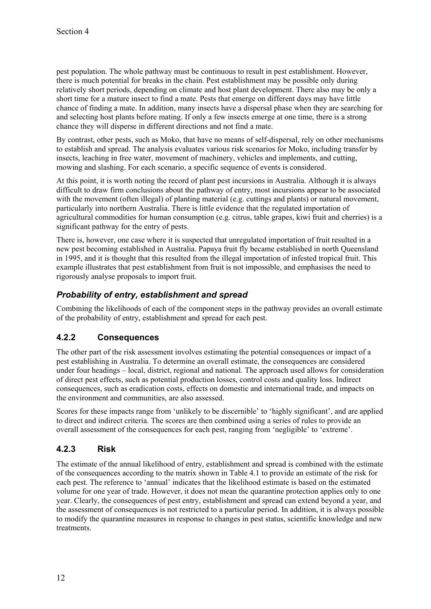pest population. The whole pathway must be continuous to result in pest establishment. However, there is much potential for breaks in the chain. Pest establishment may be possible only during relatively short periods, depending on climate and host plant development. There also may be only a short time for a mature insect to find a mate. Pests that emerge on different days may have little chance of finding a mate. In addition, many insects have a dispersal phase when they are searching for and selecting host plants before mating. If only a few insects emerge at one time, there is a strong chance they will disperse in different directions and not find a mate.

By contrast, other pests, such as Moko, that have no means of self-dispersal, rely on other mechanisms to establish and spread. The analysis evaluates various risk scenarios for Moko, including transfer by insects, leaching in free water, movement of machinery, vehicles and implements, and cutting, mowing and slashing. For each scenario, a specific sequence of events is considered.

At this point, it is worth noting the record of plant pest incursions in Australia. Although it is always difficult to draw firm conclusions about the pathway of entry, most incursions appear to be associated with the movement (often illegal) of planting material (e.g. cuttings and plants) or natural movement, particularly into northern Australia. There is little evidence that the regulated importation of agricultural commodities for human consumption (e.g. citrus, table grapes, kiwi fruit and cherries) is a significant pathway for the entry of pests.

There is, however, one case where it is suspected that unregulated importation of fruit resulted in a new pest becoming established in Australia. Papaya fruit fly became established in north Queensland in 1995, and it is thought that this resulted from the illegal importation of infested tropical fruit. This example illustrates that pest establishment from fruit is not impossible, and emphasises the need to rigorously analyse proposals to import fruit.

### *Probability of entry, establishment and spread*

Combining the likelihoods of each of the component steps in the pathway provides an overall estimate of the probability of entry, establishment and spread for each pest.

### **4.2.2 Consequences**

The other part of the risk assessment involves estimating the potential consequences or impact of a pest establishing in Australia. To determine an overall estimate, the consequences are considered under four headings – local, district, regional and national. The approach used allows for consideration of direct pest effects, such as potential production losses, control costs and quality loss. Indirect consequences, such as eradication costs, effects on domestic and international trade, and impacts on the environment and communities, are also assessed.

Scores for these impacts range from 'unlikely to be discernible' to 'highly significant', and are applied to direct and indirect criteria. The scores are then combined using a series of rules to provide an overall assessment of the consequences for each pest, ranging from 'negligible' to 'extreme'.

### **4.2.3 Risk**

The estimate of the annual likelihood of entry, establishment and spread is combined with the estimate of the consequences according to the matrix shown in Table 4.1 to provide an estimate of the risk for each pest. The reference to 'annual' indicates that the likelihood estimate is based on the estimated volume for one year of trade. However, it does not mean the quarantine protection applies only to one year. Clearly, the consequences of pest entry, establishment and spread can extend beyond a year, and the assessment of consequences is not restricted to a particular period. In addition, it is always possible to modify the quarantine measures in response to changes in pest status, scientific knowledge and new treatments.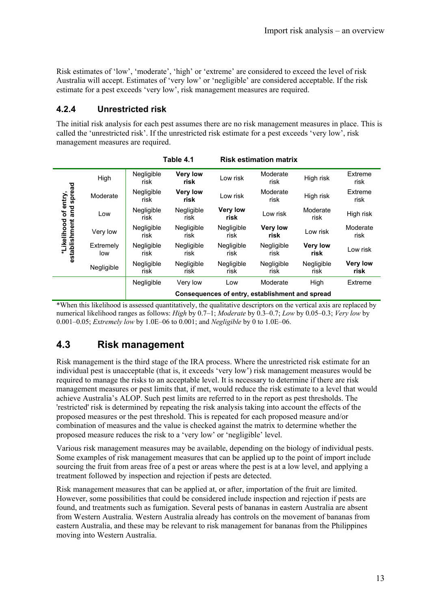Risk estimates of 'low', 'moderate', 'high' or 'extreme' are considered to exceed the level of risk Australia will accept. Estimates of 'very low' or 'negligible' are considered acceptable. If the risk estimate for a pest exceeds 'very low', risk management measures are required.

### **4.2.4 Unrestricted risk**

The initial risk analysis for each pest assumes there are no risk management measures in place. This is called the 'unrestricted risk'. If the unrestricted risk estimate for a pest exceeds 'very low', risk management measures are required.

|                     |                  | Table 4.1                                       |                         | <b>Risk estimation matrix</b> |                         |                         |                         |
|---------------------|------------------|-------------------------------------------------|-------------------------|-------------------------------|-------------------------|-------------------------|-------------------------|
| spread<br>of entry, | High             | Negligible<br>risk                              | <b>Very low</b><br>risk | Low risk                      | Moderate<br>risk        | High risk               | Extreme<br>risk         |
|                     | Moderate         | Negligible<br>risk                              | <b>Very low</b><br>risk | Low risk                      | Moderate<br>risk        | High risk               | Extreme<br>risk         |
| and                 | Low              | Negligible<br>risk                              | Negligible<br>risk      | <b>Very low</b><br>risk       | Low risk                | Moderate<br>risk        | High risk               |
| *Likelihood         | Very low         | Negligible<br>risk                              | Negligible<br>risk      | Negligible<br>risk            | <b>Very low</b><br>risk | Low risk                | Moderate<br>risk        |
| establishment       | Extremely<br>low | Negligible<br>risk                              | Negligible<br>risk      | Negligible<br>risk            | Negligible<br>risk      | <b>Very low</b><br>risk | Low risk                |
|                     | Negligible       | Negligible<br>risk                              | Negligible<br>risk      | Negligible<br>risk            | Negligible<br>risk      | Negligible<br>risk      | <b>Very low</b><br>risk |
|                     |                  | Negligible                                      | Very low                | Low                           | Moderate                | High                    | Extreme                 |
|                     |                  | Consequences of entry, establishment and spread |                         |                               |                         |                         |                         |

\*When this likelihood is assessed quantitatively, the qualitative descriptors on the vertical axis are replaced by numerical likelihood ranges as follows: *High* by 0.7–1; *Moderate* by 0.3–0.7; *Low* by 0.05–0.3; *Very low* by 0.001–0.05; *Extremely low* by 1.0E–06 to 0.001; and *Negligible* by 0 to 1.0E–06.

# **4.3 Risk management**

Risk management is the third stage of the IRA process. Where the unrestricted risk estimate for an individual pest is unacceptable (that is, it exceeds 'very low') risk management measures would be required to manage the risks to an acceptable level. It is necessary to determine if there are risk management measures or pest limits that, if met, would reduce the risk estimate to a level that would achieve Australia's ALOP. Such pest limits are referred to in the report as pest thresholds. The 'restricted' risk is determined by repeating the risk analysis taking into account the effects of the proposed measures or the pest threshold. This is repeated for each proposed measure and/or combination of measures and the value is checked against the matrix to determine whether the proposed measure reduces the risk to a 'very low' or 'negligible' level.

Various risk management measures may be available, depending on the biology of individual pests. Some examples of risk management measures that can be applied up to the point of import include sourcing the fruit from areas free of a pest or areas where the pest is at a low level, and applying a treatment followed by inspection and rejection if pests are detected.

Risk management measures that can be applied at, or after, importation of the fruit are limited. However, some possibilities that could be considered include inspection and rejection if pests are found, and treatments such as fumigation. Several pests of bananas in eastern Australia are absent from Western Australia. Western Australia already has controls on the movement of bananas from eastern Australia, and these may be relevant to risk management for bananas from the Philippines moving into Western Australia.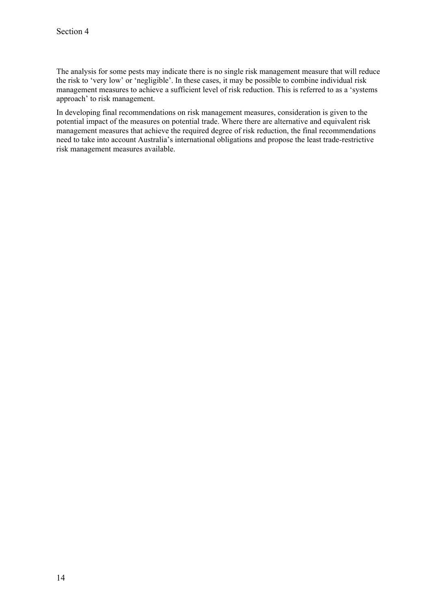The analysis for some pests may indicate there is no single risk management measure that will reduce the risk to 'very low' or 'negligible'. In these cases, it may be possible to combine individual risk management measures to achieve a sufficient level of risk reduction. This is referred to as a 'systems approach' to risk management.

In developing final recommendations on risk management measures, consideration is given to the potential impact of the measures on potential trade. Where there are alternative and equivalent risk management measures that achieve the required degree of risk reduction, the final recommendations need to take into account Australia's international obligations and propose the least trade-restrictive risk management measures available.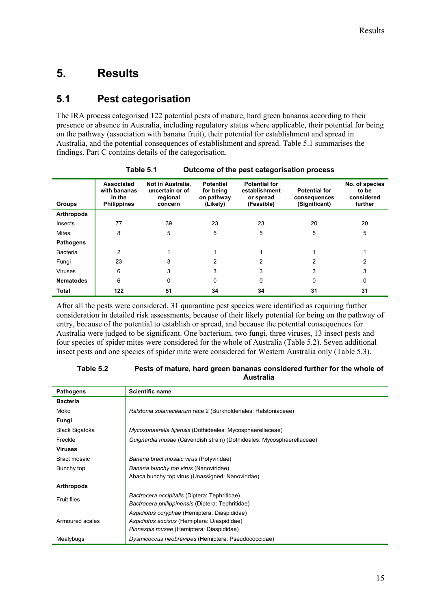# **5. Results**

# **5.1 Pest categorisation**

The IRA process categorised 122 potential pests of mature, hard green bananas according to their presence or absence in Australia, including regulatory status where applicable, their potential for being on the pathway (association with banana fruit), their potential for establishment and spread in Australia, and the potential consequences of establishment and spread. Table 5.1 summarises the findings. Part C contains details of the categorisation.

|                   | Table 5.1                                                  |                                                             | Outcome of the pest categorisation process              |                                                                  |                                                       |                                                  |
|-------------------|------------------------------------------------------------|-------------------------------------------------------------|---------------------------------------------------------|------------------------------------------------------------------|-------------------------------------------------------|--------------------------------------------------|
| <b>Groups</b>     | Associated<br>with bananas<br>in the<br><b>Philippines</b> | Not in Australia,<br>uncertain or of<br>regional<br>concern | <b>Potential</b><br>for being<br>on pathway<br>(Likely) | <b>Potential for</b><br>establishment<br>or spread<br>(Feasible) | <b>Potential for</b><br>consequences<br>(Significant) | No. of species<br>to be<br>considered<br>further |
| <b>Arthropods</b> |                                                            |                                                             |                                                         |                                                                  |                                                       |                                                  |
| Insects           | 77                                                         | 39                                                          | 23                                                      | 23                                                               | 20                                                    | 20                                               |
| <b>Mites</b>      | 8                                                          | 5                                                           | 5                                                       | 5                                                                | 5                                                     | 5                                                |
| <b>Pathogens</b>  |                                                            |                                                             |                                                         |                                                                  |                                                       |                                                  |
| <b>Bacteria</b>   | $\overline{2}$                                             |                                                             |                                                         |                                                                  |                                                       |                                                  |
| Fungi             | 23                                                         |                                                             | 2                                                       | 2                                                                | 2                                                     |                                                  |
| <b>Viruses</b>    | 6                                                          |                                                             | 3                                                       | 3                                                                | 3                                                     | 3                                                |
| <b>Nematodes</b>  | 6                                                          | 0                                                           | 0                                                       | 0                                                                | 0                                                     | 0                                                |
| Total             | 122                                                        | 51                                                          | 34                                                      | 34                                                               | 31                                                    | 31                                               |

After all the pests were considered, 31 quarantine pest species were identified as requiring further consideration in detailed risk assessments, because of their likely potential for being on the pathway of entry, because of the potential to establish or spread, and because the potential consequences for Australia were judged to be significant. One bacterium, two fungi, three viruses, 13 insect pests and four species of spider mites were considered for the whole of Australia (Table 5.2). Seven additional insect pests and one species of spider mite were considered for Western Australia only (Table 5.3).

| <b>Pathogens</b>      | <b>Scientific name</b>                                                |
|-----------------------|-----------------------------------------------------------------------|
| <b>Bacteria</b>       |                                                                       |
| Moko                  | Ralstonia solanacearum race 2 (Burkholderiales: Ralstoniaceae)        |
| Fungi                 |                                                                       |
| <b>Black Sigatoka</b> | Mycosphaerella fijiensis (Dothideales: Mycosphaerellaceae)            |
| Freckle               | Guignardia musae (Cavendish strain) (Dothideales: Mycosphaerellaceae) |
| <b>Viruses</b>        |                                                                       |
| Bract mosaic          | Banana bract mosaic virus (Potyviridae)                               |
| Bunchy top            | Banana bunchy top virus (Nanoviridae)                                 |
|                       | Abaca bunchy top virus (Unassigned: Nanoviridae)                      |
| <b>Arthropods</b>     |                                                                       |
| <b>Fruit flies</b>    | Bactrocera occipitalis (Diptera: Tephritidae)                         |
|                       | Bactrocera philippinensis (Diptera: Tephritidae)                      |
|                       | Aspidiotus coryphae (Hemiptera: Diaspididae)                          |
| Armoured scales       | Aspidiotus excisus (Hemiptera: Diaspididae)                           |
|                       | <i>Pinnaspis musae</i> (Hemiptera: Diaspididae)                       |
| Mealybugs             | Dysmicoccus neobrevipes (Hemiptera: Pseudococcidae)                   |

#### **Table 5.2 Pests of mature, hard green bananas considered further for the whole of Australia**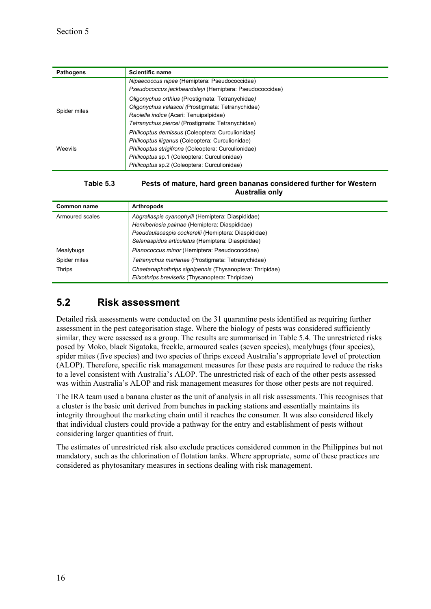| <b>Pathogens</b> | <b>Scientific name</b>                                  |
|------------------|---------------------------------------------------------|
|                  | Nipaecoccus nipae (Hemiptera: Pseudococcidae)           |
|                  | Pseudococcus jackbeardsleyi (Hemiptera: Pseudococcidae) |
| Spider mites     | Oligonychus orthius (Prostigmata: Tetranychidae)        |
|                  | Oligonychus velascoi (Prostigmata: Tetranychidae)       |
|                  | Raoiella indica (Acari: Tenuipalpidae)                  |
|                  | Tetranychus piercei (Prostigmata: Tetranychidae)        |
|                  | Philicoptus demissus (Coleoptera: Curculionidae)        |
| Weevils          | Philicoptus iliganus (Coleoptera: Curculionidae)        |
|                  | Philicoptus strigifrons (Coleoptera: Curculionidae)     |
|                  | Philicoptus sp.1 (Coleoptera: Curculionidae)            |
|                  | Philicoptus sp.2 (Coleoptera: Curculionidae)            |

#### **Table 5.3 Pests of mature, hard green bananas considered further for Western Australia only**

| Common name     | <b>Arthropods</b>                                       |
|-----------------|---------------------------------------------------------|
| Armoured scales | Abgrallaspis cyanophylli (Hemiptera: Diaspididae)       |
|                 | Hemiberlesia palmae (Hemiptera: Diaspididae)            |
|                 | Pseudaulacaspis cockerelli (Hemiptera: Diaspididae)     |
|                 | Selenaspidus articulatus (Hemiptera: Diaspididae)       |
| Mealybugs       | Planococcus minor (Hemiptera: Pseudococcidae)           |
| Spider mites    | Tetranychus marianae (Prostigmata: Tetranychidae)       |
| Thrips          | Chaetanaphothrips signipennis (Thysanoptera: Thripidae) |
|                 | Elixothrips brevisetis (Thysanoptera: Thripidae)        |

# **5.2 Risk assessment**

Detailed risk assessments were conducted on the 31 quarantine pests identified as requiring further assessment in the pest categorisation stage. Where the biology of pests was considered sufficiently similar, they were assessed as a group. The results are summarised in Table 5.4. The unrestricted risks posed by Moko, black Sigatoka, freckle, armoured scales (seven species), mealybugs (four species), spider mites (five species) and two species of thrips exceed Australia's appropriate level of protection (ALOP). Therefore, specific risk management measures for these pests are required to reduce the risks to a level consistent with Australia's ALOP. The unrestricted risk of each of the other pests assessed was within Australia's ALOP and risk management measures for those other pests are not required.

The IRA team used a banana cluster as the unit of analysis in all risk assessments. This recognises that a cluster is the basic unit derived from bunches in packing stations and essentially maintains its integrity throughout the marketing chain until it reaches the consumer. It was also considered likely that individual clusters could provide a pathway for the entry and establishment of pests without considering larger quantities of fruit.

The estimates of unrestricted risk also exclude practices considered common in the Philippines but not mandatory, such as the chlorination of flotation tanks. Where appropriate, some of these practices are considered as phytosanitary measures in sections dealing with risk management.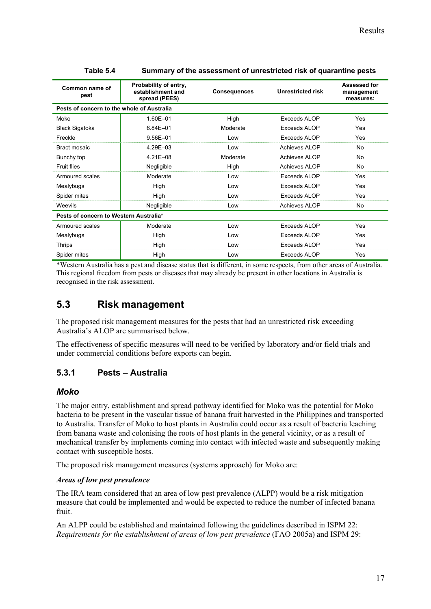| Common name of<br>pest                     | Probability of entry,<br>establishment and<br>spread (PEES) | <b>Consequences</b> | <b>Unrestricted risk</b> | Assessed for<br>management<br>measures: |  |  |  |
|--------------------------------------------|-------------------------------------------------------------|---------------------|--------------------------|-----------------------------------------|--|--|--|
| Pests of concern to the whole of Australia |                                                             |                     |                          |                                         |  |  |  |
| Moko                                       | 1.60E-01                                                    | High                | <b>Exceeds ALOP</b>      | Yes                                     |  |  |  |
| <b>Black Sigatoka</b>                      | 6.84E-01                                                    | Moderate            | Exceeds ALOP             | Yes                                     |  |  |  |
| Freckle                                    | 9.56E-01                                                    | Low                 | Exceeds ALOP             | Yes                                     |  |  |  |
| Bract mosaic                               | 4.29E-03                                                    | Low                 | Achieves ALOP            | No                                      |  |  |  |
| Bunchy top                                 | 4.21E-08                                                    | Moderate            | Achieves ALOP            | No                                      |  |  |  |
| <b>Fruit flies</b>                         | Negligible                                                  | High                | Achieves ALOP            | N <sub>o</sub>                          |  |  |  |
| Armoured scales                            | Moderate                                                    | Low                 | Exceeds ALOP             | Yes                                     |  |  |  |
| Mealybugs                                  | High                                                        | Low                 | Exceeds ALOP             | Yes                                     |  |  |  |
| Spider mites                               | High                                                        | Low                 | Exceeds ALOP             | Yes                                     |  |  |  |
| Weevils                                    | Negligible                                                  | Low                 | Achieves ALOP            | No.                                     |  |  |  |
| Pests of concern to Western Australia*     |                                                             |                     |                          |                                         |  |  |  |
| Armoured scales                            | Moderate                                                    | Low                 | Exceeds ALOP             | Yes                                     |  |  |  |
| Mealybugs                                  | High                                                        | Low                 | Exceeds ALOP             | Yes                                     |  |  |  |
| Thrips                                     | High                                                        | Low                 | Exceeds ALOP             | Yes                                     |  |  |  |
| Spider mites                               | High                                                        | Low                 | Exceeds ALOP             | Yes                                     |  |  |  |

#### **Table 5.4 Summary of the assessment of unrestricted risk of quarantine pests**

\*Western Australia has a pest and disease status that is different, in some respects, from other areas of Australia. This regional freedom from pests or diseases that may already be present in other locations in Australia is recognised in the risk assessment.

### **5.3 Risk management**

The proposed risk management measures for the pests that had an unrestricted risk exceeding Australia's ALOP are summarised below.

The effectiveness of specific measures will need to be verified by laboratory and/or field trials and under commercial conditions before exports can begin.

#### **5.3.1 Pests – Australia**

#### *Moko*

The major entry, establishment and spread pathway identified for Moko was the potential for Moko bacteria to be present in the vascular tissue of banana fruit harvested in the Philippines and transported to Australia. Transfer of Moko to host plants in Australia could occur as a result of bacteria leaching from banana waste and colonising the roots of host plants in the general vicinity, or as a result of mechanical transfer by implements coming into contact with infected waste and subsequently making contact with susceptible hosts.

The proposed risk management measures (systems approach) for Moko are:

#### *Areas of low pest prevalence*

The IRA team considered that an area of low pest prevalence (ALPP) would be a risk mitigation measure that could be implemented and would be expected to reduce the number of infected banana fruit.

An ALPP could be established and maintained following the guidelines described in ISPM 22: *Requirements for the establishment of areas of low pest prevalence* (FAO 2005a) and ISPM 29: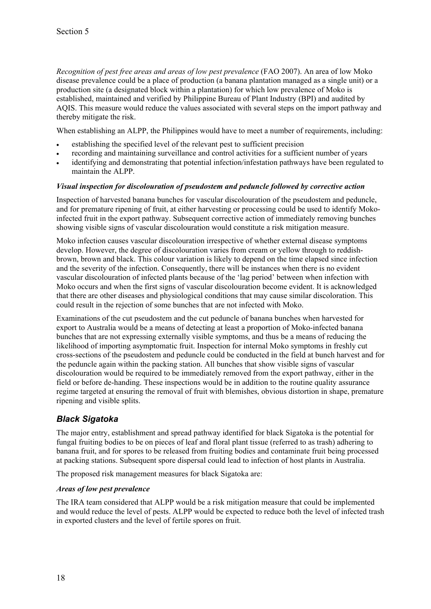*Recognition of pest free areas and areas of low pest prevalence* (FAO 2007). An area of low Moko disease prevalence could be a place of production (a banana plantation managed as a single unit) or a production site (a designated block within a plantation) for which low prevalence of Moko is established, maintained and verified by Philippine Bureau of Plant Industry (BPI) and audited by AQIS. This measure would reduce the values associated with several steps on the import pathway and thereby mitigate the risk.

When establishing an ALPP, the Philippines would have to meet a number of requirements, including:

- establishing the specified level of the relevant pest to sufficient precision
- recording and maintaining surveillance and control activities for a sufficient number of years
- identifying and demonstrating that potential infection/infestation pathways have been regulated to maintain the ALPP.

#### *Visual inspection for discolouration of pseudostem and peduncle followed by corrective action*

Inspection of harvested banana bunches for vascular discolouration of the pseudostem and peduncle, and for premature ripening of fruit, at either harvesting or processing could be used to identify Mokoinfected fruit in the export pathway. Subsequent corrective action of immediately removing bunches showing visible signs of vascular discolouration would constitute a risk mitigation measure.

Moko infection causes vascular discolouration irrespective of whether external disease symptoms develop. However, the degree of discolouration varies from cream or yellow through to reddishbrown, brown and black. This colour variation is likely to depend on the time elapsed since infection and the severity of the infection. Consequently, there will be instances when there is no evident vascular discolouration of infected plants because of the 'lag period' between when infection with Moko occurs and when the first signs of vascular discolouration become evident. It is acknowledged that there are other diseases and physiological conditions that may cause similar discoloration. This could result in the rejection of some bunches that are not infected with Moko.

Examinations of the cut pseudostem and the cut peduncle of banana bunches when harvested for export to Australia would be a means of detecting at least a proportion of Moko-infected banana bunches that are not expressing externally visible symptoms, and thus be a means of reducing the likelihood of importing asymptomatic fruit. Inspection for internal Moko symptoms in freshly cut cross-sections of the pseudostem and peduncle could be conducted in the field at bunch harvest and for the peduncle again within the packing station. All bunches that show visible signs of vascular discolouration would be required to be immediately removed from the export pathway, either in the field or before de-handing. These inspections would be in addition to the routine quality assurance regime targeted at ensuring the removal of fruit with blemishes, obvious distortion in shape, premature ripening and visible splits.

#### *Black Sigatoka*

The major entry, establishment and spread pathway identified for black Sigatoka is the potential for fungal fruiting bodies to be on pieces of leaf and floral plant tissue (referred to as trash) adhering to banana fruit, and for spores to be released from fruiting bodies and contaminate fruit being processed at packing stations. Subsequent spore dispersal could lead to infection of host plants in Australia.

The proposed risk management measures for black Sigatoka are:

#### *Areas of low pest prevalence*

The IRA team considered that ALPP would be a risk mitigation measure that could be implemented and would reduce the level of pests. ALPP would be expected to reduce both the level of infected trash in exported clusters and the level of fertile spores on fruit.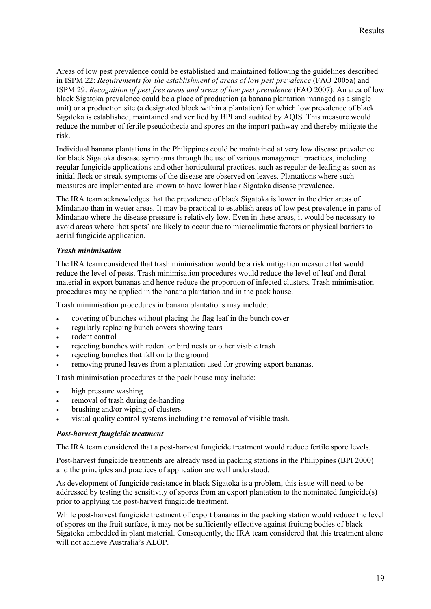Areas of low pest prevalence could be established and maintained following the guidelines described in ISPM 22: *Requirements for the establishment of areas of low pest prevalence* (FAO 2005a) and ISPM 29: *Recognition of pest free areas and areas of low pest prevalence* (FAO 2007). An area of low black Sigatoka prevalence could be a place of production (a banana plantation managed as a single unit) or a production site (a designated block within a plantation) for which low prevalence of black Sigatoka is established, maintained and verified by BPI and audited by AQIS. This measure would reduce the number of fertile pseudothecia and spores on the import pathway and thereby mitigate the risk.

Individual banana plantations in the Philippines could be maintained at very low disease prevalence for black Sigatoka disease symptoms through the use of various management practices, including regular fungicide applications and other horticultural practices, such as regular de-leafing as soon as initial fleck or streak symptoms of the disease are observed on leaves. Plantations where such measures are implemented are known to have lower black Sigatoka disease prevalence.

The IRA team acknowledges that the prevalence of black Sigatoka is lower in the drier areas of Mindanao than in wetter areas. It may be practical to establish areas of low pest prevalence in parts of Mindanao where the disease pressure is relatively low. Even in these areas, it would be necessary to avoid areas where 'hot spots' are likely to occur due to microclimatic factors or physical barriers to aerial fungicide application.

#### *Trash minimisation*

The IRA team considered that trash minimisation would be a risk mitigation measure that would reduce the level of pests. Trash minimisation procedures would reduce the level of leaf and floral material in export bananas and hence reduce the proportion of infected clusters. Trash minimisation procedures may be applied in the banana plantation and in the pack house.

Trash minimisation procedures in banana plantations may include:

- covering of bunches without placing the flag leaf in the bunch cover
- regularly replacing bunch covers showing tears
- rodent control
- rejecting bunches with rodent or bird nests or other visible trash
- rejecting bunches that fall on to the ground
- removing pruned leaves from a plantation used for growing export bananas.

Trash minimisation procedures at the pack house may include:

- high pressure washing
- removal of trash during de-handing
- brushing and/or wiping of clusters
- visual quality control systems including the removal of visible trash.

#### *Post-harvest fungicide treatment*

The IRA team considered that a post-harvest fungicide treatment would reduce fertile spore levels.

Post-harvest fungicide treatments are already used in packing stations in the Philippines (BPI 2000) and the principles and practices of application are well understood.

As development of fungicide resistance in black Sigatoka is a problem, this issue will need to be addressed by testing the sensitivity of spores from an export plantation to the nominated fungicide(s) prior to applying the post-harvest fungicide treatment.

While post-harvest fungicide treatment of export bananas in the packing station would reduce the level of spores on the fruit surface, it may not be sufficiently effective against fruiting bodies of black Sigatoka embedded in plant material. Consequently, the IRA team considered that this treatment alone will not achieve Australia's ALOP.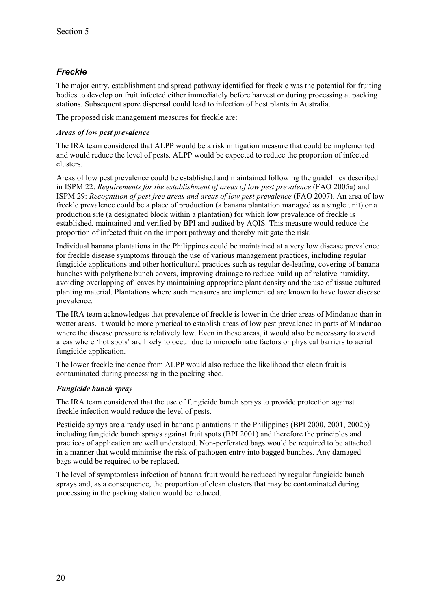# *Freckle*

The major entry, establishment and spread pathway identified for freckle was the potential for fruiting bodies to develop on fruit infected either immediately before harvest or during processing at packing stations. Subsequent spore dispersal could lead to infection of host plants in Australia.

The proposed risk management measures for freckle are:

#### *Areas of low pest prevalence*

The IRA team considered that ALPP would be a risk mitigation measure that could be implemented and would reduce the level of pests. ALPP would be expected to reduce the proportion of infected clusters.

Areas of low pest prevalence could be established and maintained following the guidelines described in ISPM 22: *Requirements for the establishment of areas of low pest prevalence* (FAO 2005a) and ISPM 29: *Recognition of pest free areas and areas of low pest prevalence* (FAO 2007). An area of low freckle prevalence could be a place of production (a banana plantation managed as a single unit) or a production site (a designated block within a plantation) for which low prevalence of freckle is established, maintained and verified by BPI and audited by AQIS. This measure would reduce the proportion of infected fruit on the import pathway and thereby mitigate the risk.

Individual banana plantations in the Philippines could be maintained at a very low disease prevalence for freckle disease symptoms through the use of various management practices, including regular fungicide applications and other horticultural practices such as regular de-leafing, covering of banana bunches with polythene bunch covers, improving drainage to reduce build up of relative humidity, avoiding overlapping of leaves by maintaining appropriate plant density and the use of tissue cultured planting material. Plantations where such measures are implemented are known to have lower disease prevalence.

The IRA team acknowledges that prevalence of freckle is lower in the drier areas of Mindanao than in wetter areas. It would be more practical to establish areas of low pest prevalence in parts of Mindanao where the disease pressure is relatively low. Even in these areas, it would also be necessary to avoid areas where 'hot spots' are likely to occur due to microclimatic factors or physical barriers to aerial fungicide application.

The lower freckle incidence from ALPP would also reduce the likelihood that clean fruit is contaminated during processing in the packing shed.

#### *Fungicide bunch spray*

The IRA team considered that the use of fungicide bunch sprays to provide protection against freckle infection would reduce the level of pests.

Pesticide sprays are already used in banana plantations in the Philippines (BPI 2000, 2001, 2002b) including fungicide bunch sprays against fruit spots (BPI 2001) and therefore the principles and practices of application are well understood. Non-perforated bags would be required to be attached in a manner that would minimise the risk of pathogen entry into bagged bunches. Any damaged bags would be required to be replaced.

The level of symptomless infection of banana fruit would be reduced by regular fungicide bunch sprays and, as a consequence, the proportion of clean clusters that may be contaminated during processing in the packing station would be reduced.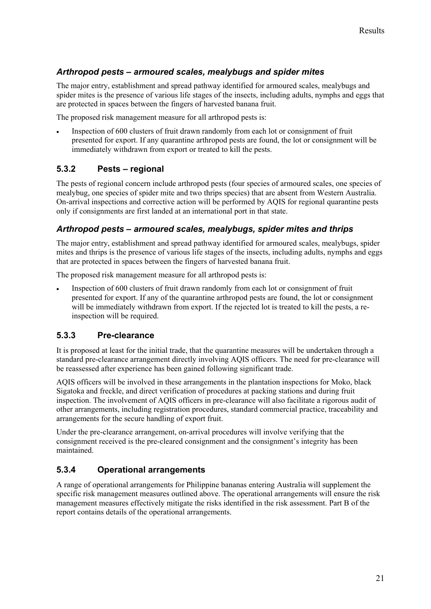### *Arthropod pests – armoured scales, mealybugs and spider mites*

The major entry, establishment and spread pathway identified for armoured scales, mealybugs and spider mites is the presence of various life stages of the insects, including adults, nymphs and eggs that are protected in spaces between the fingers of harvested banana fruit.

The proposed risk management measure for all arthropod pests is:

• Inspection of 600 clusters of fruit drawn randomly from each lot or consignment of fruit presented for export. If any quarantine arthropod pests are found, the lot or consignment will be immediately withdrawn from export or treated to kill the pests.

### **5.3.2 Pests – regional**

The pests of regional concern include arthropod pests (four species of armoured scales, one species of mealybug, one species of spider mite and two thrips species) that are absent from Western Australia. On-arrival inspections and corrective action will be performed by AQIS for regional quarantine pests only if consignments are first landed at an international port in that state.

### *Arthropod pests – armoured scales, mealybugs, spider mites and thrips*

The major entry, establishment and spread pathway identified for armoured scales, mealybugs, spider mites and thrips is the presence of various life stages of the insects, including adults, nymphs and eggs that are protected in spaces between the fingers of harvested banana fruit.

The proposed risk management measure for all arthropod pests is:

• Inspection of 600 clusters of fruit drawn randomly from each lot or consignment of fruit presented for export. If any of the quarantine arthropod pests are found, the lot or consignment will be immediately withdrawn from export. If the rejected lot is treated to kill the pests, a reinspection will be required.

### **5.3.3 Pre-clearance**

It is proposed at least for the initial trade, that the quarantine measures will be undertaken through a standard pre-clearance arrangement directly involving AQIS officers. The need for pre-clearance will be reassessed after experience has been gained following significant trade.

AQIS officers will be involved in these arrangements in the plantation inspections for Moko, black Sigatoka and freckle, and direct verification of procedures at packing stations and during fruit inspection. The involvement of AQIS officers in pre-clearance will also facilitate a rigorous audit of other arrangements, including registration procedures, standard commercial practice, traceability and arrangements for the secure handling of export fruit.

Under the pre-clearance arrangement, on-arrival procedures will involve verifying that the consignment received is the pre-cleared consignment and the consignment's integrity has been maintained.

### **5.3.4 Operational arrangements**

A range of operational arrangements for Philippine bananas entering Australia will supplement the specific risk management measures outlined above. The operational arrangements will ensure the risk management measures effectively mitigate the risks identified in the risk assessment. Part B of the report contains details of the operational arrangements.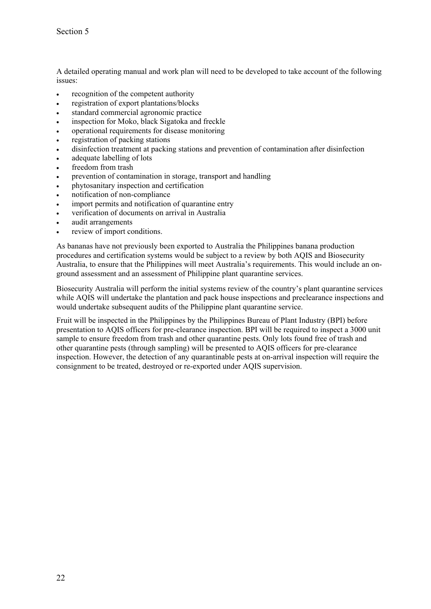A detailed operating manual and work plan will need to be developed to take account of the following issues:

- recognition of the competent authority
- registration of export plantations/blocks
- standard commercial agronomic practice
- inspection for Moko, black Sigatoka and freckle
- operational requirements for disease monitoring
- registration of packing stations
- disinfection treatment at packing stations and prevention of contamination after disinfection
- adequate labelling of lots
- freedom from trash
- prevention of contamination in storage, transport and handling
- phytosanitary inspection and certification
- notification of non-compliance
- import permits and notification of quarantine entry
- verification of documents on arrival in Australia
- audit arrangements
- review of import conditions.

As bananas have not previously been exported to Australia the Philippines banana production procedures and certification systems would be subject to a review by both AQIS and Biosecurity Australia, to ensure that the Philippines will meet Australia's requirements. This would include an onground assessment and an assessment of Philippine plant quarantine services.

Biosecurity Australia will perform the initial systems review of the country's plant quarantine services while AQIS will undertake the plantation and pack house inspections and preclearance inspections and would undertake subsequent audits of the Philippine plant quarantine service.

Fruit will be inspected in the Philippines by the Philippines Bureau of Plant Industry (BPI) before presentation to AQIS officers for pre-clearance inspection. BPI will be required to inspect a 3000 unit sample to ensure freedom from trash and other quarantine pests. Only lots found free of trash and other quarantine pests (through sampling) will be presented to AQIS officers for pre-clearance inspection. However, the detection of any quarantinable pests at on-arrival inspection will require the consignment to be treated, destroyed or re-exported under AQIS supervision.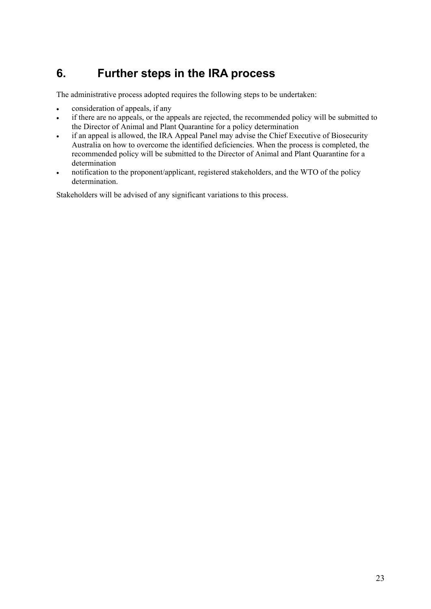# **6. Further steps in the IRA process**

The administrative process adopted requires the following steps to be undertaken:

- consideration of appeals, if any
- if there are no appeals, or the appeals are rejected, the recommended policy will be submitted to the Director of Animal and Plant Quarantine for a policy determination
- if an appeal is allowed, the IRA Appeal Panel may advise the Chief Executive of Biosecurity Australia on how to overcome the identified deficiencies. When the process is completed, the recommended policy will be submitted to the Director of Animal and Plant Quarantine for a determination
- notification to the proponent/applicant, registered stakeholders, and the WTO of the policy determination.

Stakeholders will be advised of any significant variations to this process.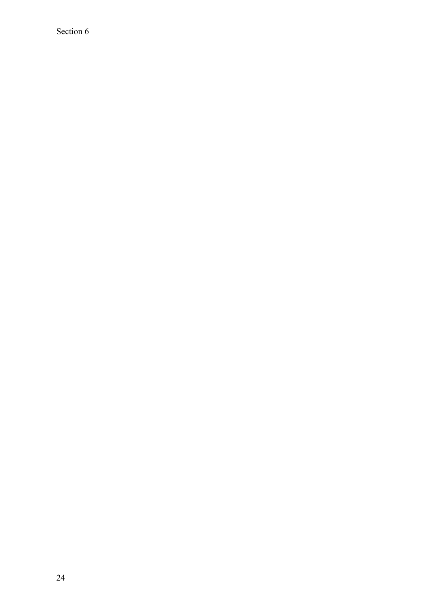Section 6